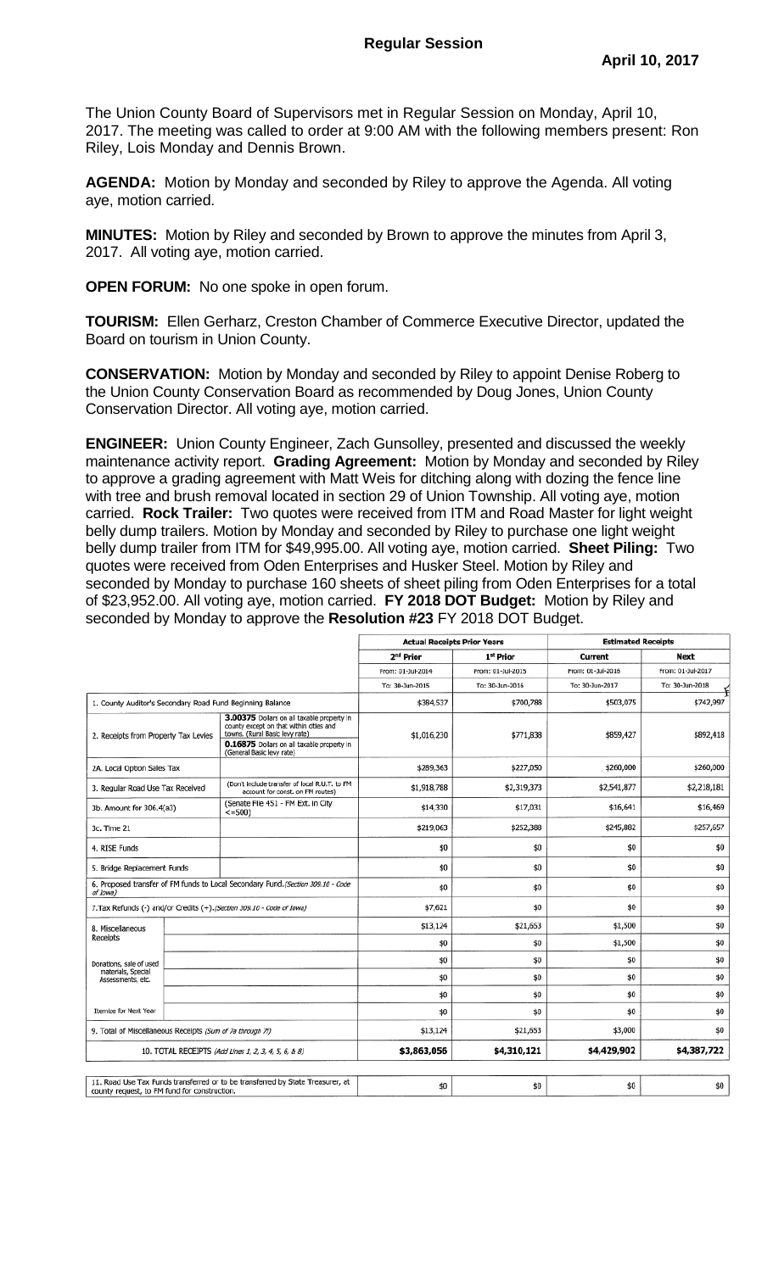The Union County Board of Supervisors met in Regular Session on Monday, April 10, 2017. The meeting was called to order at 9:00 AM with the following members present: Ron Riley, Lois Monday and Dennis Brown.

**AGENDA:** Motion by Monday and seconded by Riley to approve the Agenda. All voting aye, motion carried.

**MINUTES:** Motion by Riley and seconded by Brown to approve the minutes from April 3, 2017. All voting aye, motion carried.

**OPEN FORUM:** No one spoke in open forum.

**TOURISM:** Ellen Gerharz, Creston Chamber of Commerce Executive Director, updated the Board on tourism in Union County.

**CONSERVATION:** Motion by Monday and seconded by Riley to appoint Denise Roberg to the Union County Conservation Board as recommended by Doug Jones, Union County Conservation Director. All voting aye, motion carried.

**ENGINEER:** Union County Engineer, Zach Gunsolley, presented and discussed the weekly maintenance activity report. **Grading Agreement:** Motion by Monday and seconded by Riley to approve a grading agreement with Matt Weis for ditching along with dozing the fence line with tree and brush removal located in section 29 of Union Township. All voting aye, motion carried. **Rock Trailer:** Two quotes were received from ITM and Road Master for light weight belly dump trailers. Motion by Monday and seconded by Riley to purchase one light weight belly dump trailer from ITM for \$49,995.00. All voting aye, motion carried. **Sheet Piling:** Two quotes were received from Oden Enterprises and Husker Steel. Motion by Riley and seconded by Monday to purchase 160 sheets of sheet piling from Oden Enterprises for a total of \$23,952.00. All voting aye, motion carried. **FY 2018 DOT Budget:** Motion by Riley and seconded by Monday to approve the **Resolution #23** FY 2018 DOT Budget.

|                                                                                                                                |                                                                       |                                                                                                                                                                                                    | <b>Actual Receipts Prior Years</b> |                   | <b>Estimated Receipts</b> |                   |
|--------------------------------------------------------------------------------------------------------------------------------|-----------------------------------------------------------------------|----------------------------------------------------------------------------------------------------------------------------------------------------------------------------------------------------|------------------------------------|-------------------|---------------------------|-------------------|
|                                                                                                                                |                                                                       |                                                                                                                                                                                                    | 2 <sup>nd</sup> Prior              | 1st Prior         | Current                   | Next              |
|                                                                                                                                |                                                                       |                                                                                                                                                                                                    | From: 01-Jul-2014                  | From: 01-Jul-2015 | From: 01-Jul-2016         | From: 01-Jul-2017 |
|                                                                                                                                |                                                                       |                                                                                                                                                                                                    | To: 30-Jun-2015                    | To: 30-Jun-2016   | To: 30-Jun-2017           | To: 30-Jun-2018   |
| 1. County Auditor's Secondary Road Fund Beginning Balance                                                                      |                                                                       |                                                                                                                                                                                                    | \$384,537                          | \$700,788         | \$503,075                 | \$742,997         |
| 2. Receipts from Property Tax Levies                                                                                           |                                                                       | 3.00375 Dollars on all taxable property in<br>county except on that within cities and<br>towns. (Rural Basic levy rate)<br>0.16875 Dollars on all taxable property in<br>(General Basic levy rate) | \$1,016,230                        | \$771,838         | \$859,427                 | \$892,418         |
| 2A. Local Option Sales Tax                                                                                                     |                                                                       |                                                                                                                                                                                                    | \$289,363                          | \$227,050         | \$260,000                 | \$260,000         |
| 3. Regular Road Use Tax Received                                                                                               |                                                                       | (Don't include transfer of local R.U.T. to FM<br>account for const. on FM routes)                                                                                                                  | \$1,918,788                        | \$2,319,373       | \$2,541,877               | \$2,218,181       |
| 3b. Amount for 306.4(a3)                                                                                                       |                                                                       | (Senate File 451 - FM Ext. in City<br>$\le$ =500)                                                                                                                                                  | \$14,330                           | \$17,031          | \$16,641                  | \$16,469          |
| 3c. Time 21                                                                                                                    |                                                                       |                                                                                                                                                                                                    | \$219,063                          | \$252,388         | \$245,882                 | \$257,657         |
| 4. RISE Funds                                                                                                                  |                                                                       |                                                                                                                                                                                                    | \$0                                | \$0               | \$0                       | \$0               |
| 5. Bridge Replacement Funds                                                                                                    |                                                                       |                                                                                                                                                                                                    | \$0                                | \$0               | \$0                       | \$0               |
| of Iowa)                                                                                                                       |                                                                       | 6. Proposed transfer of FM funds to Local Secondary Fund. (Section 309.10 - Code                                                                                                                   | \$0                                | \$0               | \$0                       | \$0               |
|                                                                                                                                | 7.Tax Refunds (-) and/or Credits (+). (Section 309.10 - Code of Iowa) |                                                                                                                                                                                                    | \$7,621                            | \$0               | \$0                       | \$0               |
| 8. Miscellaneous                                                                                                               |                                                                       |                                                                                                                                                                                                    | \$13,124                           | \$21,653          | \$1,500                   | \$0               |
| Receipts                                                                                                                       |                                                                       |                                                                                                                                                                                                    | \$0                                | \$0               | \$1,500                   | \$0               |
| Donations, sale of used<br>materials, Special<br>Assessments, etc.                                                             |                                                                       |                                                                                                                                                                                                    | \$0                                | \$0               | \$0                       | \$0               |
|                                                                                                                                |                                                                       |                                                                                                                                                                                                    | \$0                                | \$0               | \$0                       | \$0               |
|                                                                                                                                |                                                                       |                                                                                                                                                                                                    | \$0                                | \$0               | \$0                       | \$0               |
| <b>Itemize for Next Year</b>                                                                                                   |                                                                       |                                                                                                                                                                                                    | \$0                                | \$0               | \$0                       | \$0               |
| 9. Total of Miscellaneous Receipts (Sum of 7a through 7f)                                                                      |                                                                       | \$13,124                                                                                                                                                                                           | \$21,653                           | \$3,000           | \$0                       |                   |
| 10. TOTAL RECEIPTS (Add Lines 1, 2, 3, 4, 5, 6, 8 8)                                                                           |                                                                       | \$3,863,056                                                                                                                                                                                        | \$4,310,121                        | \$4,429,902       | \$4,387,722               |                   |
|                                                                                                                                |                                                                       |                                                                                                                                                                                                    |                                    |                   |                           |                   |
| 11. Road Use Tax Funds transferred or to be transferred by State Treasurer, at<br>county request, to FM fund for construction. |                                                                       | \$0                                                                                                                                                                                                | \$0                                | \$0               | \$0                       |                   |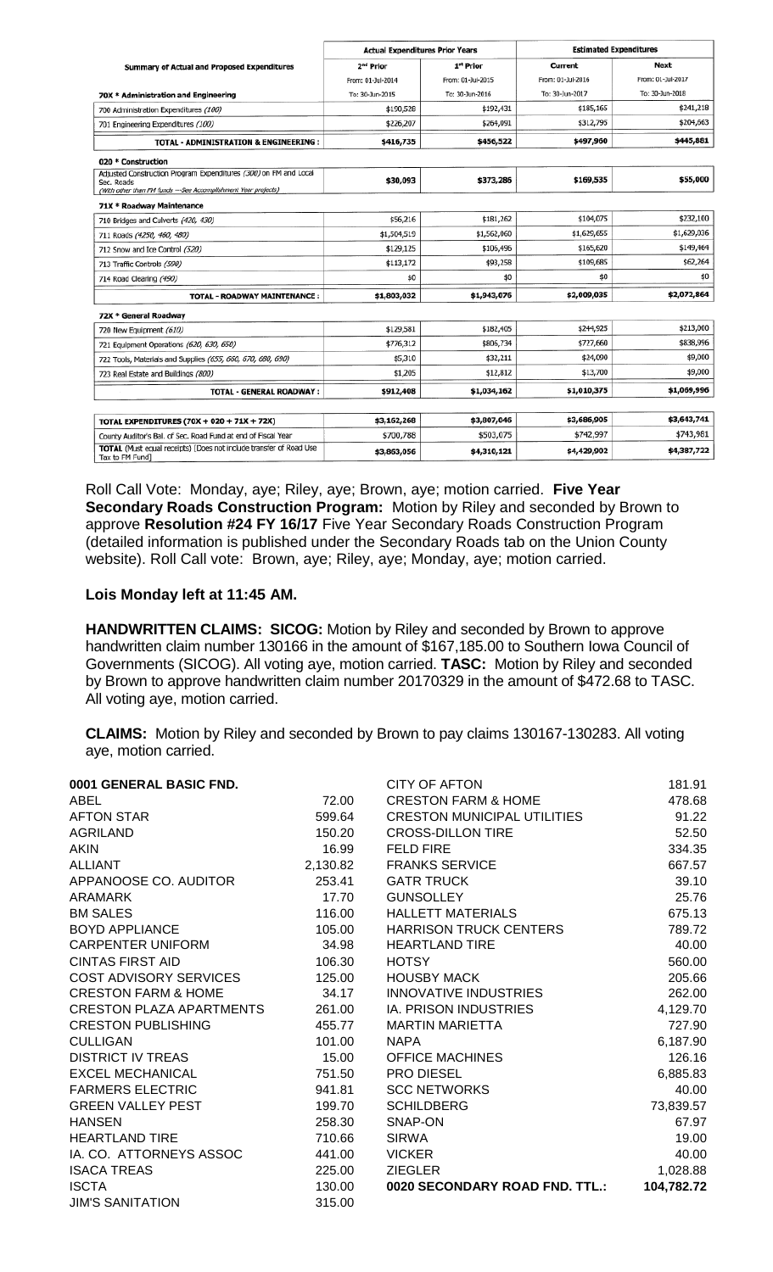|                                                                                                                                                  | <b>Actual Expenditures Prior Years</b> |                   | <b>Estimated Expenditures</b> |                   |
|--------------------------------------------------------------------------------------------------------------------------------------------------|----------------------------------------|-------------------|-------------------------------|-------------------|
| Summary of Actual and Proposed Expenditures                                                                                                      | 2 <sup>nd</sup> Prior                  | 1st Prior         | Current                       | Next              |
|                                                                                                                                                  | From: 01-3ul-2014                      | From: 01-Jul-2015 | From: 01-Jul-2016             | From: 01-Jul-2017 |
| 70X * Administration and Engineering                                                                                                             | To: 30-Jun-2015                        | To: 30-Jun-2016   | To: 30-Jun-2017               | To: 30-Jun-2018   |
| 700 Administration Expenditures (100)                                                                                                            | \$190,528                              | \$192,431         | \$185,165                     | \$241,218         |
| 701 Engineering Expenditures (100)                                                                                                               | \$226,207                              | \$264,091         | \$312,795                     | \$204,663         |
| <b>TOTAL - ADMINISTRATION &amp; ENGINEERING:</b>                                                                                                 | \$416,735                              | \$456,522         | \$497,960                     | \$445,881         |
| 020 * Construction                                                                                                                               |                                        |                   |                               |                   |
| Adjusted Construction Program Expenditures (300) on FM and Local<br>Sec. Roads<br>(With other than FM funds ---See Accomplishment Year projects) | \$30,093                               | \$373,286         | \$169,535                     | \$55,000          |
| 71X * Roadway Maintenance                                                                                                                        |                                        |                   |                               |                   |
| 710 Bridges and Culverts (420, 430)                                                                                                              | \$56,216                               | \$181,262         | \$104,075                     | \$232,100         |
| 711 Roads (4250, 460, 480)                                                                                                                       | \$1,504,519                            | \$1,562,060       | \$1,629,655                   | \$1,629,036       |
| 712 Snow and Ice Control (520)                                                                                                                   | \$129,125                              | \$106,496         | \$165,620                     | \$149,464         |
| 713 Traffic Controls (590)                                                                                                                       | \$113,172                              | \$93,258          | \$109,685                     | \$62,264          |
| 714 Road Clearing (490)                                                                                                                          | \$0                                    | \$0               | \$0                           | \$0               |
| <b>TOTAL - ROADWAY MAINTENANCE:</b>                                                                                                              | \$1,803,032                            | \$1,943,076       | \$2,009,035                   | \$2,072,864       |
| 72X * General Roadway                                                                                                                            |                                        |                   |                               |                   |
| 720 New Equipment (610)                                                                                                                          | \$129,581                              | \$182,405         | \$244,925                     | \$213,000         |
| 721 Equipment Operations (620, 630, 650)                                                                                                         | \$776,312                              | \$806,734         | \$727,660                     | \$838,996         |
| 722 Tools, Materials and Supplies (655, 660, 670, 680, 690)                                                                                      | \$5,310                                | \$32,211          | \$24,090                      | \$9,000           |
| 723 Real Estate and Buildings (800)                                                                                                              | \$1,205                                | \$12,812          | \$13,700                      | \$9,000           |
| <b>TOTAL - GENERAL ROADWAY :</b>                                                                                                                 | \$912,408                              | \$1,034,162       | \$1,010,375                   | \$1,069,996       |
|                                                                                                                                                  |                                        |                   |                               |                   |
| TOTAL EXPENDITURES (70X + 020 + 71X + 72X)                                                                                                       | \$3,162,268                            | \$3,807,046       | \$3,686,905                   | \$3,643,741       |
| County Auditor's Bal. of Sec. Road Fund at end of Fiscal Year                                                                                    | \$700,788                              | \$503,075         | \$742,997                     | \$743,981         |
| TOTAL (Must equal receipts) [Does not include transfer of Road Use<br>Tax to FM Fund]                                                            | \$3,863,056                            | \$4,310,121       | \$4,429,902                   | \$4,387,722       |

Roll Call Vote: Monday, aye; Riley, aye; Brown, aye; motion carried. **Five Year Secondary Roads Construction Program:** Motion by Riley and seconded by Brown to approve **Resolution #24 FY 16/17** Five Year Secondary Roads Construction Program (detailed information is published under the Secondary Roads tab on the Union County website). Roll Call vote: Brown, aye; Riley, aye; Monday, aye; motion carried.

## **Lois Monday left at 11:45 AM.**

**HANDWRITTEN CLAIMS: SICOG:** Motion by Riley and seconded by Brown to approve handwritten claim number 130166 in the amount of \$167,185.00 to Southern Iowa Council of Governments (SICOG). All voting aye, motion carried. **TASC:** Motion by Riley and seconded by Brown to approve handwritten claim number 20170329 in the amount of \$472.68 to TASC. All voting aye, motion carried.

**CLAIMS:** Motion by Riley and seconded by Brown to pay claims 130167-130283. All voting aye, motion carried.

| 0001 GENERAL BASIC FND.         |          | <b>CITY OF AFTON</b>               | 181.91     |
|---------------------------------|----------|------------------------------------|------------|
| <b>ABEL</b>                     | 72.00    | <b>CRESTON FARM &amp; HOME</b>     | 478.68     |
| <b>AFTON STAR</b>               | 599.64   | <b>CRESTON MUNICIPAL UTILITIES</b> | 91.22      |
| <b>AGRILAND</b>                 | 150.20   | <b>CROSS-DILLON TIRE</b>           | 52.50      |
| <b>AKIN</b>                     | 16.99    | <b>FELD FIRE</b>                   | 334.35     |
| <b>ALLIANT</b>                  | 2,130.82 | <b>FRANKS SERVICE</b>              | 667.57     |
| APPANOOSE CO. AUDITOR           | 253.41   | <b>GATR TRUCK</b>                  | 39.10      |
| ARAMARK                         | 17.70    | <b>GUNSOLLEY</b>                   | 25.76      |
| <b>BM SALES</b>                 | 116.00   | <b>HALLETT MATERIALS</b>           | 675.13     |
| <b>BOYD APPLIANCE</b>           | 105.00   | <b>HARRISON TRUCK CENTERS</b>      | 789.72     |
| <b>CARPENTER UNIFORM</b>        | 34.98    | <b>HEARTLAND TIRE</b>              | 40.00      |
| <b>CINTAS FIRST AID</b>         | 106.30   | <b>HOTSY</b>                       | 560.00     |
| <b>COST ADVISORY SERVICES</b>   | 125.00   | <b>HOUSBY MACK</b>                 | 205.66     |
| <b>CRESTON FARM &amp; HOME</b>  | 34.17    | <b>INNOVATIVE INDUSTRIES</b>       | 262.00     |
| <b>CRESTON PLAZA APARTMENTS</b> | 261.00   | IA. PRISON INDUSTRIES              | 4,129.70   |
| <b>CRESTON PUBLISHING</b>       | 455.77   | <b>MARTIN MARIETTA</b>             | 727.90     |
| <b>CULLIGAN</b>                 | 101.00   | <b>NAPA</b>                        | 6,187.90   |
| <b>DISTRICT IV TREAS</b>        | 15.00    | <b>OFFICE MACHINES</b>             | 126.16     |
| <b>EXCEL MECHANICAL</b>         | 751.50   | PRO DIESEL                         | 6,885.83   |
| <b>FARMERS ELECTRIC</b>         | 941.81   | <b>SCC NETWORKS</b>                | 40.00      |
| <b>GREEN VALLEY PEST</b>        | 199.70   | <b>SCHILDBERG</b>                  | 73,839.57  |
| <b>HANSEN</b>                   | 258.30   | SNAP-ON                            | 67.97      |
| <b>HEARTLAND TIRE</b>           | 710.66   | <b>SIRWA</b>                       | 19.00      |
| IA. CO. ATTORNEYS ASSOC         | 441.00   | <b>VICKER</b>                      | 40.00      |
| <b>ISACA TREAS</b>              | 225.00   | <b>ZIEGLER</b>                     | 1,028.88   |
| <b>ISCTA</b>                    | 130.00   | 0020 SECONDARY ROAD FND. TTL.:     | 104,782.72 |
| <b>JIM'S SANITATION</b>         | 315.00   |                                    |            |